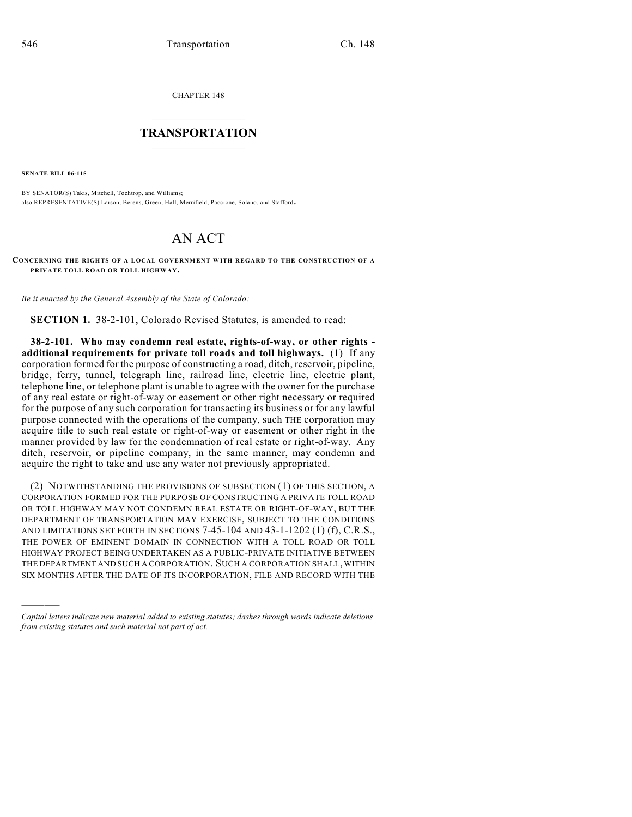CHAPTER 148

## $\mathcal{L}_\text{max}$  . The set of the set of the set of the set of the set of the set of the set of the set of the set of the set of the set of the set of the set of the set of the set of the set of the set of the set of the set **TRANSPORTATION**  $\_$

**SENATE BILL 06-115**

)))))

BY SENATOR(S) Takis, Mitchell, Tochtrop, and Williams; also REPRESENTATIVE(S) Larson, Berens, Green, Hall, Merrifield, Paccione, Solano, and Stafford.

## AN ACT

**CONCERNING THE RIGHTS OF A LOCAL GOVERNMENT WITH REGARD TO THE CONSTRUCTION OF A PRIVATE TOLL ROAD OR TOLL HIGHWAY.**

*Be it enacted by the General Assembly of the State of Colorado:*

**SECTION 1.** 38-2-101, Colorado Revised Statutes, is amended to read:

**38-2-101. Who may condemn real estate, rights-of-way, or other rights additional requirements for private toll roads and toll highways.** (1) If any corporation formed for the purpose of constructing a road, ditch, reservoir, pipeline, bridge, ferry, tunnel, telegraph line, railroad line, electric line, electric plant, telephone line, or telephone plant is unable to agree with the owner for the purchase of any real estate or right-of-way or easement or other right necessary or required for the purpose of any such corporation for transacting its business or for any lawful purpose connected with the operations of the company, such THE corporation may acquire title to such real estate or right-of-way or easement or other right in the manner provided by law for the condemnation of real estate or right-of-way. Any ditch, reservoir, or pipeline company, in the same manner, may condemn and acquire the right to take and use any water not previously appropriated.

(2) NOTWITHSTANDING THE PROVISIONS OF SUBSECTION (1) OF THIS SECTION, A CORPORATION FORMED FOR THE PURPOSE OF CONSTRUCTING A PRIVATE TOLL ROAD OR TOLL HIGHWAY MAY NOT CONDEMN REAL ESTATE OR RIGHT-OF-WAY, BUT THE DEPARTMENT OF TRANSPORTATION MAY EXERCISE, SUBJECT TO THE CONDITIONS AND LIMITATIONS SET FORTH IN SECTIONS 7-45-104 AND 43-1-1202 (1) (f), C.R.S., THE POWER OF EMINENT DOMAIN IN CONNECTION WITH A TOLL ROAD OR TOLL HIGHWAY PROJECT BEING UNDERTAKEN AS A PUBLIC-PRIVATE INITIATIVE BETWEEN THE DEPARTMENT AND SUCH A CORPORATION. SUCH A CORPORATION SHALL, WITHIN SIX MONTHS AFTER THE DATE OF ITS INCORPORATION, FILE AND RECORD WITH THE

*Capital letters indicate new material added to existing statutes; dashes through words indicate deletions from existing statutes and such material not part of act.*